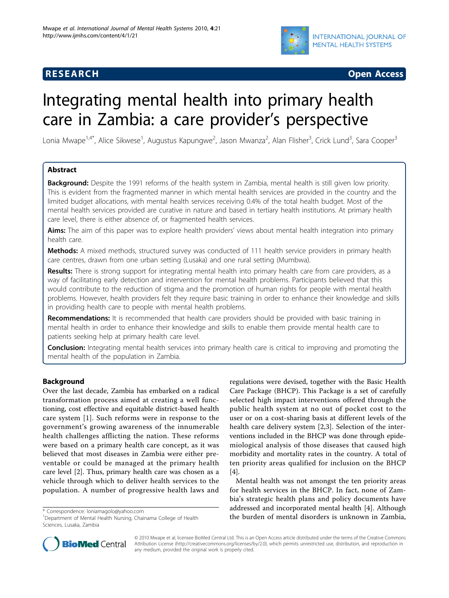

**RESEARCH CONSTRUCTION CONSTRUCTS** 

# Integrating mental health into primary health care in Zambia: a care provider's perspective

Lonia Mwape<sup>1,4\*</sup>, Alice Sikwese<sup>1</sup>, Augustus Kapungwe<sup>2</sup>, Jason Mwanza<sup>2</sup>, Alan Flisher<sup>3</sup>, Crick Lund<sup>3</sup>, Sara Cooper<sup>3</sup>

# Abstract

**Background:** Despite the 1991 reforms of the health system in Zambia, mental health is still given low priority. This is evident from the fragmented manner in which mental health services are provided in the country and the limited budget allocations, with mental health services receiving 0.4% of the total health budget. Most of the mental health services provided are curative in nature and based in tertiary health institutions. At primary health care level, there is either absence of, or fragmented health services.

Aims: The aim of this paper was to explore health providers' views about mental health integration into primary health care.

**Methods:** A mixed methods, structured survey was conducted of 111 health service providers in primary health care centres, drawn from one urban setting (Lusaka) and one rural setting (Mumbwa).

Results: There is strong support for integrating mental health into primary health care from care providers, as a way of facilitating early detection and intervention for mental health problems. Participants believed that this would contribute to the reduction of stigma and the promotion of human rights for people with mental health problems. However, health providers felt they require basic training in order to enhance their knowledge and skills in providing health care to people with mental health problems.

Recommendations: It is recommended that health care providers should be provided with basic training in mental health in order to enhance their knowledge and skills to enable them provide mental health care to patients seeking help at primary health care level.

**Conclusion:** Integrating mental health services into primary health care is critical to improving and promoting the mental health of the population in Zambia.

# Background

Over the last decade, Zambia has embarked on a radical transformation process aimed at creating a well functioning, cost effective and equitable district-based health care system [[1\]](#page-8-0). Such reforms were in response to the government's growing awareness of the innumerable health challenges afflicting the nation. These reforms were based on a primary health care concept, as it was believed that most diseases in Zambia were either preventable or could be managed at the primary health care level [[2](#page-8-0)]. Thus, primary health care was chosen as a vehicle through which to deliver health services to the population. A number of progressive health laws and

regulations were devised, together with the Basic Health Care Package (BHCP). This Package is a set of carefully selected high impact interventions offered through the public health system at no out of pocket cost to the user or on a cost-sharing basis at different levels of the health care delivery system [[2,3](#page-8-0)]. Selection of the interventions included in the BHCP was done through epidemiological analysis of those diseases that caused high morbidity and mortality rates in the country. A total of ten priority areas qualified for inclusion on the BHCP [[4\]](#page-8-0).

Mental health was not amongst the ten priority areas for health services in the BHCP. In fact, none of Zambia's strategic health plans and policy documents have addressed and incorporated mental health [\[4](#page-8-0)]. Although the burden of mental disordence: [loniamagolo@yahoo.com](mailto:loniamagolo@yahoo.com)<br>the burden of mental disorders is unknown in Zambia, \* Correspondence in Zambia, \* Correspondence: loniamagolo



© 2010 Mwape et al; licensee BioMed Central Ltd. This is an Open Access article distributed under the terms of the Creative Commons Attribution License [\(http://creativecommons.org/licenses/by/2.0](http://creativecommons.org/licenses/by/2.0)), which permits unrestricted use, distribution, and reproduction in any medium, provided the original work is properly cited.

<sup>&</sup>lt;sup>1</sup>Department of Mental Health Nursing, Chainama College of Health Sciences, Lusaka, Zambia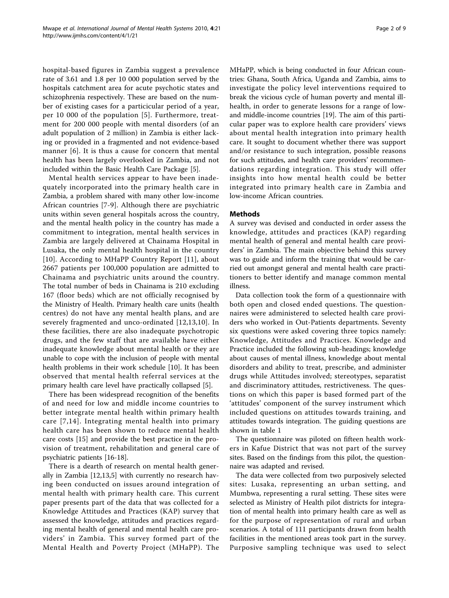hospital-based figures in Zambia suggest a prevalence rate of 3.61 and 1.8 per 10 000 population served by the hospitals catchment area for acute psychotic states and schizophrenia respectively. These are based on the number of existing cases for a particicular period of a year, per 10 000 of the population [[5](#page-8-0)]. Furthermore, treatment for 200 000 people with mental disorders (of an adult population of 2 million) in Zambia is either lacking or provided in a fragmented and not evidence-based manner [[6](#page-8-0)]. It is thus a cause for concern that mental health has been largely overlooked in Zambia, and not included within the Basic Health Care Package [[5\]](#page-8-0).

Mental health services appear to have been inadequately incorporated into the primary health care in Zambia, a problem shared with many other low-income African countries [\[7-9](#page-8-0)]. Although there are psychiatric units within seven general hospitals across the country, and the mental health policy in the country has made a commitment to integration, mental health services in Zambia are largely delivered at Chainama Hospital in Lusaka, the only mental health hospital in the country [[10](#page-8-0)]. According to MHaPP Country Report [[11\]](#page-8-0), about 2667 patients per 100,000 population are admitted to Chainama and psychiatric units around the country. The total number of beds in Chainama is 210 excluding 167 (floor beds) which are not officially recognised by the Ministry of Health. Primary health care units (health centres) do not have any mental health plans, and are severely fragmented and unco-ordinated [[12](#page-8-0),[13,10](#page-8-0)]. In these facilities, there are also inadequate psychotropic drugs, and the few staff that are available have either inadequate knowledge about mental health or they are unable to cope with the inclusion of people with mental health problems in their work schedule [\[10\]](#page-8-0). It has been observed that mental health referral services at the primary health care level have practically collapsed [\[5\]](#page-8-0).

There has been widespread recognition of the benefits of and need for low and middle income countries to better integrate mental health within primary health care [[7,14\]](#page-8-0). Integrating mental health into primary health care has been shown to reduce mental health care costs [[15\]](#page-8-0) and provide the best practice in the provision of treatment, rehabilitation and general care of psychiatric patients [[16-18\]](#page-8-0).

There is a dearth of research on mental health generally in Zambia [\[12,13,5](#page-8-0)] with currently no research having been conducted on issues around integration of mental health with primary health care. This current paper presents part of the data that was collected for a Knowledge Attitudes and Practices (KAP) survey that assessed the knowledge, attitudes and practices regarding mental health of general and mental health care providers' in Zambia. This survey formed part of the Mental Health and Poverty Project (MHaPP). The

MHaPP, which is being conducted in four African countries: Ghana, South Africa, Uganda and Zambia, aims to investigate the policy level interventions required to break the vicious cycle of human poverty and mental illhealth, in order to generate lessons for a range of lowand middle-income countries [\[19](#page-8-0)]. The aim of this particular paper was to explore health care providers' views about mental health integration into primary health care. It sought to document whether there was support and/or resistance to such integration, possible reasons for such attitudes, and health care providers' recommendations regarding integration. This study will offer insights into how mental health could be better integrated into primary health care in Zambia and low-income African countries.

#### Methods

A survey was devised and conducted in order assess the knowledge, attitudes and practices (KAP) regarding mental health of general and mental health care providers' in Zambia. The main objective behind this survey was to guide and inform the training that would be carried out amongst general and mental health care practitioners to better identify and manage common mental illness.

Data collection took the form of a questionnaire with both open and closed ended questions. The questionnaires were administered to selected health care providers who worked in Out-Patients departments. Seventy six questions were asked covering three topics namely: Knowledge, Attitudes and Practices. Knowledge and Practice included the following sub-headings; knowledge about causes of mental illness, knowledge about mental disorders and ability to treat, prescribe, and administer drugs while Attitudes involved; stereotypes, separatist and discriminatory attitudes, restrictiveness. The questions on which this paper is based formed part of the 'attitudes' component of the survey instrument which included questions on attitudes towards training, and attitudes towards integration. The guiding questions are shown in table [1](#page-2-0)

The questionnaire was piloted on fifteen health workers in Kafue District that was not part of the survey sites. Based on the findings from this pilot, the questionnaire was adapted and revised.

The data were collected from two purposively selected sites: Lusaka, representing an urban setting, and Mumbwa, representing a rural setting. These sites were selected as Ministry of Health pilot districts for integration of mental health into primary health care as well as for the purpose of representation of rural and urban scenarios. A total of 111 participants drawn from health facilities in the mentioned areas took part in the survey. Purposive sampling technique was used to select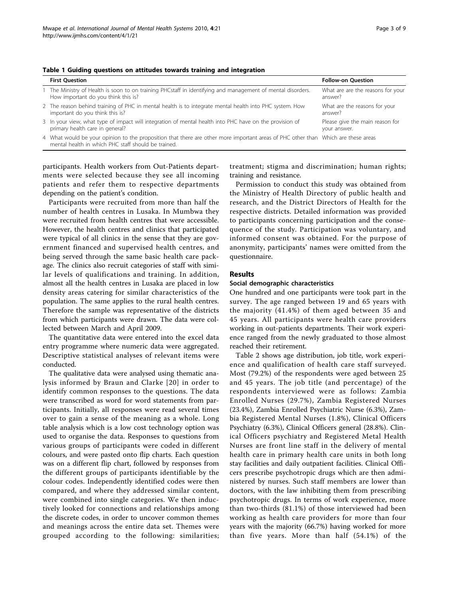<span id="page-2-0"></span>

|  |  |  |  |  |  | Table 1 Guiding questions on attitudes towards training and integration |  |
|--|--|--|--|--|--|-------------------------------------------------------------------------|--|
|--|--|--|--|--|--|-------------------------------------------------------------------------|--|

| <b>First Question</b>                                                                                                                                                                    | <b>Follow-on Question</b>                       |
|------------------------------------------------------------------------------------------------------------------------------------------------------------------------------------------|-------------------------------------------------|
| The Ministry of Health is soon to on training PHCstaff in identifying and management of mental disorders.<br>How important do you think this is?                                         | What are are the reasons for your<br>answer?    |
| 2 The reason behind training of PHC in mental health is to integrate mental health into PHC system. How<br>important do you think this is?                                               | What are the reasons for your<br>answer?        |
| 3 In your view, what type of impact will integration of mental health into PHC have on the provision of<br>primary health care in general?                                               | Please give the main reason for<br>your answer. |
| 4 What would be your opinion to the proposition that there are other more important areas of PHC other than Which are these areas<br>mental health in which PHC staff should be trained. |                                                 |

participants. Health workers from Out-Patients departments were selected because they see all incoming patients and refer them to respective departments depending on the patient's condition.

Participants were recruited from more than half the number of health centres in Lusaka. In Mumbwa they were recruited from health centres that were accessible. However, the health centres and clinics that participated were typical of all clinics in the sense that they are government financed and supervised health centres, and being served through the same basic health care package. The clinics also recruit categories of staff with similar levels of qualifications and training. In addition, almost all the health centres in Lusaka are placed in low density areas catering for similar characteristics of the population. The same applies to the rural health centres. Therefore the sample was representative of the districts from which participants were drawn. The data were collected between March and April 2009.

The quantitative data were entered into the excel data entry programme where numeric data were aggregated. Descriptive statistical analyses of relevant items were conducted.

The qualitative data were analysed using thematic analysis informed by Braun and Clarke [[20](#page-8-0)] in order to identify common responses to the questions. The data were transcribed as word for word statements from participants. Initially, all responses were read several times over to gain a sense of the meaning as a whole. Long table analysis which is a low cost technology option was used to organise the data. Responses to questions from various groups of participants were coded in different colours, and were pasted onto flip charts. Each question was on a different flip chart, followed by responses from the different groups of participants identifiable by the colour codes. Independently identified codes were then compared, and where they addressed similar content, were combined into single categories. We then inductively looked for connections and relationships among the discrete codes, in order to uncover common themes and meanings across the entire data set. Themes were grouped according to the following: similarities;

treatment; stigma and discrimination; human rights; training and resistance.

Permission to conduct this study was obtained from the Ministry of Health Directory of public health and research, and the District Directors of Health for the respective districts. Detailed information was provided to participants concerning participation and the consequence of the study. Participation was voluntary, and informed consent was obtained. For the purpose of anonymity, participants' names were omitted from the questionnaire.

#### Results

#### Social demographic characteristics

One hundred and one participants were took part in the survey. The age ranged between 19 and 65 years with the majority (41.4%) of them aged between 35 and 45 years. All participants were health care providers working in out-patients departments. Their work experience ranged from the newly graduated to those almost reached their retirement.

Table [2](#page-3-0) shows age distribution, job title, work experience and qualification of health care staff surveyed. Most (79.2%) of the respondents were aged between 25 and 45 years. The job title (and percentage) of the respondents interviewed were as follows: Zambia Enrolled Nurses (29.7%), Zambia Registered Nurses (23.4%), Zambia Enrolled Psychiatric Nurse (6.3%), Zambia Registered Mental Nurses (1.8%), Clinical Officers Psychiatry (6.3%), Clinical Officers general (28.8%). Clinical Officers psychiatry and Registered Metal Health Nurses are front line staff in the delivery of mental health care in primary health care units in both long stay facilities and daily outpatient facilities. Clinical Officers prescribe psychotropic drugs which are then administered by nurses. Such staff members are lower than doctors, with the law inhibiting them from prescribing psychotropic drugs. In terms of work experience, more than two-thirds (81.1%) of those interviewed had been working as health care providers for more than four years with the majority (66.7%) having worked for more than five years. More than half (54.1%) of the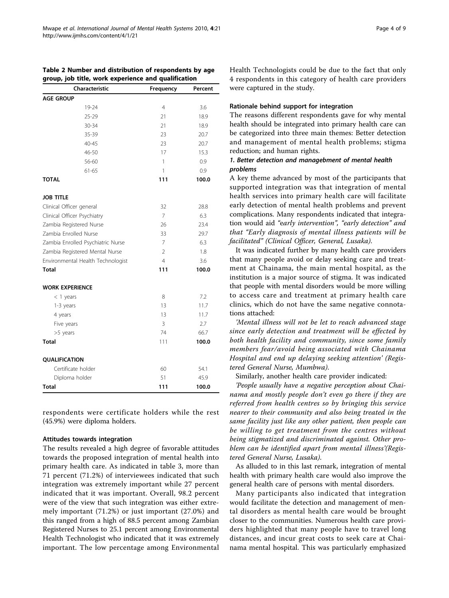#### <span id="page-3-0"></span>Table 2 Number and distribution of respondents by age group, job title, work experience and qualification

| Characteristic                    | Frequency      | Percent |
|-----------------------------------|----------------|---------|
| <b>AGE GROUP</b>                  |                |         |
| 19-24                             | $\overline{4}$ | 3.6     |
| $25 - 29$                         | 21             | 18.9    |
| 30-34                             | 21             | 18.9    |
| 35-39                             | 23             | 20.7    |
| 40-45                             | 23             | 20.7    |
| 46-50                             | 17             | 15.3    |
| 56-60                             | 1              | 0.9     |
| 61-65                             | 1              | 0.9     |
| TOTAL                             | 111            | 100.0   |
| <b>JOB TITLE</b>                  |                |         |
| Clinical Officer general          | 32             | 28.8    |
| Clinical Officer Psychiatry       | $\overline{7}$ | 6.3     |
| Zambia Registered Nurse           | 26             | 23.4    |
| Zambia Enrolled Nurse             | 33             | 29.7    |
| Zambia Enrolled Psychiatric Nurse | 7              | 6.3     |
| Zambia Registered Mental Nurse    | 2              | 1.8     |
| Environmental Health Technologist | $\overline{4}$ | 3.6     |
| <b>Total</b>                      | 111            | 100.0   |
| <b>WORK EXPERIENCE</b>            |                |         |
| $<$ 1 years                       | 8              | 7.2     |
| 1-3 years                         | 13             | 11.7    |
| 4 years                           | 13             | 11.7    |
| Five years                        | 3              | 2.7     |
| >5 years                          | 74             | 66.7    |
| <b>Total</b>                      | 111            | 100.0   |
| <b>QUALIFICATION</b>              |                |         |
| Certificate holder                | 60             | 54.1    |
| Diploma holder                    | 51             | 45.9    |
| <b>Total</b>                      | 111            | 100.0   |

respondents were certificate holders while the rest (45.9%) were diploma holders.

#### Attitudes towards integration

The results revealed a high degree of favorable attitudes towards the proposed integration of mental health into primary health care. As indicated in table [3](#page-4-0), more than 71 percent (71.2%) of interviewees indicated that such integration was extremely important while 27 percent indicated that it was important. Overall, 98.2 percent were of the view that such integration was either extremely important (71.2%) or just important (27.0%) and this ranged from a high of 88.5 percent among Zambian Registered Nurses to 25.1 percent among Environmental Health Technologist who indicated that it was extremely important. The low percentage among Environmental Page 4 of 9

Health Technologists could be due to the fact that only 4 respondents in this category of health care providers were captured in the study.

#### Rationale behind support for integration

The reasons different respondents gave for why mental health should be integrated into primary health care can be categorized into three main themes: Better detection and management of mental health problems; stigma reduction; and human rights.

# 1. Better detection and managebment of mental health problems

A key theme advanced by most of the participants that supported integration was that integration of mental health services into primary health care will facilitate early detection of mental health problems and prevent complications. Many respondents indicated that integration would aid "early intervention", "early detection" and that "Early diagnosis of mental illness patients will be facilitated" (Clinical Officer, General, Lusaka).

It was indicated further by many health care providers that many people avoid or delay seeking care and treatment at Chainama, the main mental hospital, as the institution is a major source of stigma. It was indicated that people with mental disorders would be more willing to access care and treatment at primary health care clinics, which do not have the same negative connotations attached:

'Mental illness will not be let to reach advanced stage since early detection and treatment will be effected by both health facility and community, since some family members fear/avoid being associated with Chainama Hospital and end up delaying seeking attention' (Registered General Nurse, Mumbwa).

Similarly, another health care provider indicated:

'People usually have a negative perception about Chainama and mostly people don't even go there if they are referred from health centres so by bringing this service nearer to their community and also being treated in the same facility just like any other patient, then people can be willing to get treatment from the centres without being stigmatized and discriminated against. Other problem can be identified apart from mental illness'(Registered General Nurse, Lusaka).

As alluded to in this last remark, integration of mental health with primary health care would also improve the general health care of persons with mental disorders.

Many participants also indicated that integration would facilitate the detection and management of mental disorders as mental health care would be brought closer to the communities. Numerous health care providers highlighted that many people have to travel long distances, and incur great costs to seek care at Chainama mental hospital. This was particularly emphasized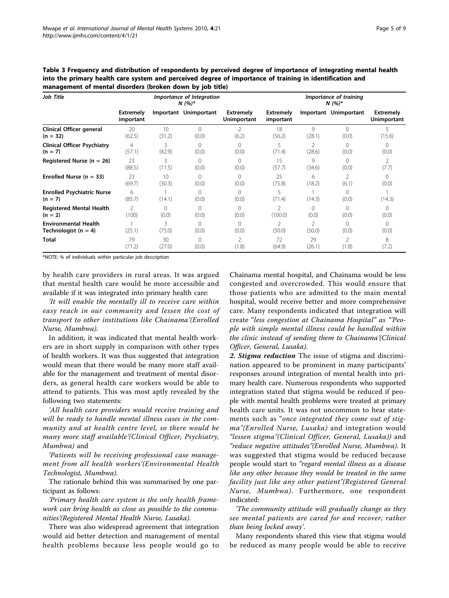| Job Title                                               | Importance of Integration<br>$N(96)^*$ |                   |                       |                                        | Importance of training<br>$N(%)*$   |              |                       |                          |
|---------------------------------------------------------|----------------------------------------|-------------------|-----------------------|----------------------------------------|-------------------------------------|--------------|-----------------------|--------------------------|
|                                                         | <b>Extremely</b><br>important          |                   | Important Unimportant | <b>Extremely</b><br><b>Unimportant</b> | Extremely<br>important              |              | Important Unimportant | Extremely<br>Unimportant |
| Clinical Officer general<br>$(n = 32)$                  | 20<br>(62.5)                           | 10<br>(31.2)      | $\Omega$<br>(0.0)     | (6.2)                                  | 18<br>(56.2)                        | 9<br>(28.1)  | $\Omega$<br>(0.0)     | (15.6)                   |
| <b>Clinical Officer Psychiatry</b><br>$(n = 7)$         | 4<br>(57.1)                            | 3<br>(42.9)       | $\Omega$<br>(0.0)     | $\Omega$<br>(0.0)                      | 5<br>(71.4)                         | 2<br>(28.6)  | 0<br>(0.0)            | 0<br>(0.0)               |
| Registered Nurse ( $n = 26$ )                           | 23<br>(88.5)                           | 3<br>(11.5)       | $\Omega$<br>(0.0)     | $\Omega$<br>(0.0)                      | 15<br>(57.7)                        | 9<br>(34.6)  | $\Omega$<br>(0.0)     | (7.7)                    |
| Enrolled Nurse ( $n = 33$ )                             | 23<br>(69.7)                           | 10<br>(30.3)      | $\Omega$<br>(0.0)     | $\Omega$<br>(0.0)                      | 25<br>(75.8)                        | 6<br>(18.2)  | 2<br>(6.1)            | 0<br>(0.0)               |
| <b>Enrolled Psychiatric Nurse</b><br>$(n = 7)$          | 6<br>(85.7)                            | (14.1)            | $\Omega$<br>(0.0)     | $\Omega$<br>(0.0)                      | 5<br>(71.4)                         | (14.3)       | $\Omega$<br>(0.0)     | (14.3)                   |
| <b>Registered Mental Health</b><br>$(n = 2)$            | 2<br>(100)                             | $\Omega$<br>(0.0) | $\Omega$<br>(0.0)     | $\Omega$<br>(0.0)                      | $\overline{\phantom{a}}$<br>(100.0) | 0<br>(0.0)   | $\Omega$<br>(0.0)     | 0<br>(0.0)               |
| <b>Environmental Health</b><br>Technologist ( $n = 4$ ) | (25.1)                                 | 3<br>(75.0)       | $\Omega$<br>(0.0)     | $\Omega$<br>(0.0)                      | $\overline{\phantom{a}}$<br>(50.0)  | 2<br>(50.0)  | $\Omega$<br>(0.0)     | 0<br>(0.0)               |
| Total                                                   | 79<br>(71.2)                           | 30<br>(27.0)      | $\Omega$<br>(0.0)     | (1.8)                                  | 72<br>(64.9)                        | 29<br>(26.1) | (1.8)                 | 8<br>(7.2)               |

<span id="page-4-0"></span>Table 3 Frequency and distribution of respondents by perceived degree of importance of integrating mental health into the primary health care system and perceived degree of importance of training in identification and management of mental disorders (broken down by job title)

\*NOTE: % of individuals within particular job description

by health care providers in rural areas. It was argued that mental health care would be more accessible and available if it was integrated into primary health care:

'It will enable the mentally ill to receive care within easy reach in our community and lessen the cost of transport to other institutions like Chainama'(Enrolled Nurse, Mumbwa).

In addition, it was indicated that mental health workers are in short supply in comparison with other types of health workers. It was thus suggested that integration would mean that there would be many more staff available for the management and treatment of mental disorders, as general health care workers would be able to attend to patients. This was most aptly revealed by the following two statements:

'All health care providers would receive training and will be ready to handle mental illness cases in the community and at health centre level, so there would be many more staff available'(Clinical Officer, Psychiatry, Mumbwa) and

'Patients will be receiving professional case management from all health workers'(Environmental Health Technologist, Mumbwa).

The rationale behind this was summarised by one participant as follows:

'Primary health care system is the only health framework can bring health as close as possible to the communities'(Registered Mental Health Nurse, Lusaka).

There was also widespread agreement that integration would aid better detection and management of mental health problems because less people would go to

Chainama mental hospital, and Chainama would be less congested and overcrowded. This would ensure that those patients who are admitted to the main mental hospital, would receive better and more comprehensive care. Many respondents indicated that integration will create "less congestion at Chainama Hospital" as "'People with simple mental illness could be handled within the clinic instead of sending them to Chainama'(Clinical Officer, General, Lusaka).

2. Stigma reduction The issue of stigma and discrimination appeared to be prominent in many participants' responses around integration of mental health into primary health care. Numerous respondents who supported integration stated that stigma would be reduced if people with mental health problems were treated at primary health care units. It was not uncommon to hear statements such as "once integrated they come out of stigma"(Enrolled Nurse, Lusaka) and integration would "lessen stigma"(Clinical Officer, General, Lusaka)) and "reduce negative attitudes"(Enrolled Nurse, Mumbwa). It was suggested that stigma would be reduced because people would start to "regard mental illness as a disease like any other because they would be treated in the same facility just like any other patient"(Registered General Nurse, Mumbwa). Furthermore, one respondent indicated:

'The community attitude will gradually change as they see mental patients are cared for and recover, rather than being locked away'.

Many respondents shared this view that stigma would be reduced as many people would be able to receive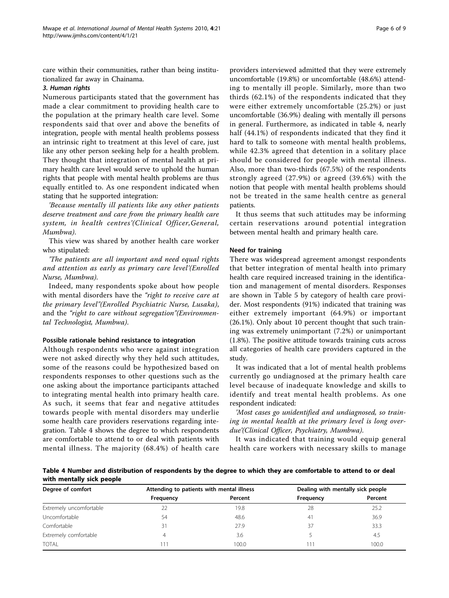care within their communities, rather than being institutionalized far away in Chainama.

## 3. Human rights

Numerous participants stated that the government has made a clear commitment to providing health care to the population at the primary health care level. Some respondents said that over and above the benefits of integration, people with mental health problems possess an intrinsic right to treatment at this level of care, just like any other person seeking help for a health problem. They thought that integration of mental health at primary health care level would serve to uphold the human rights that people with mental health problems are thus equally entitled to. As one respondent indicated when stating that he supported integration:

'Because mentally ill patients like any other patients deserve treatment and care from the primary health care system, in health centres'(Clinical Officer,General, Mumbwa).

This view was shared by another health care worker who stipulated:

'The patients are all important and need equal rights and attention as early as primary care level'(Enrolled Nurse, Mumbwa).

Indeed, many respondents spoke about how people with mental disorders have the "right to receive care at the primary level"(Enrolled Psychiatric Nurse, Lusaka), and the "right to care without segregation"(Environmental Technologist, Mumbwa).

#### Possible rationale behind resistance to integration

Although respondents who were against integration were not asked directly why they held such attitudes, some of the reasons could be hypothesized based on respondents responses to other questions such as the one asking about the importance participants attached to integrating mental health into primary health care. As such, it seems that fear and negative attitudes towards people with mental disorders may underlie some health care providers reservations regarding integration. Table 4 shows the degree to which respondents are comfortable to attend to or deal with patients with mental illness. The majority (68.4%) of health care

providers interviewed admitted that they were extremely uncomfortable (19.8%) or uncomfortable (48.6%) attending to mentally ill people. Similarly, more than two thirds (62.1%) of the respondents indicated that they were either extremely uncomfortable (25.2%) or just uncomfortable (36.9%) dealing with mentally ill persons in general. Furthermore, as indicated in table 4, nearly half (44.1%) of respondents indicated that they find it hard to talk to someone with mental health problems, while 42.3% agreed that detention in a solitary place should be considered for people with mental illness. Also, more than two-thirds (67.5%) of the respondents strongly agreed (27.9%) or agreed (39.6%) with the notion that people with mental health problems should not be treated in the same health centre as general patients.

It thus seems that such attitudes may be informing certain reservations around potential integration between mental health and primary health care.

#### Need for training

There was widespread agreement amongst respondents that better integration of mental health into primary health care required increased training in the identification and management of mental disorders. Responses are shown in Table [5](#page-6-0) by category of health care provider. Most respondents (91%) indicated that training was either extremely important (64.9%) or important (26.1%). Only about 10 percent thought that such training was extremely unimportant (7.2%) or unimportant (1.8%). The positive attitude towards training cuts across all categories of health care providers captured in the study.

It was indicated that a lot of mental health problems currently go undiagnosed at the primary health care level because of inadequate knowledge and skills to identify and treat mental health problems. As one respondent indicated:

'Most cases go unidentified and undiagnosed, so training in mental health at the primary level is long overdue'(Clinical Officer, Psychiatry, Mumbwa).

It was indicated that training would equip general health care workers with necessary skills to manage

Table 4 Number and distribution of respondents by the degree to which they are comfortable to attend to or deal with mentally sick people

| Degree of comfort       | Attending to patients with mental illness |         | Dealing with mentally sick people |         |  |
|-------------------------|-------------------------------------------|---------|-----------------------------------|---------|--|
|                         | Frequency                                 | Percent | Frequency                         | Percent |  |
| Extremely uncomfortable | 22                                        | 19.8    | 28                                | 25.2    |  |
| Uncomfortable           | 54                                        | 48.6    | 41                                | 36.9    |  |
| Comfortable             | 31                                        | 27.9    | 37                                | 33.3    |  |
| Extremely comfortable   |                                           | 3.6     |                                   | 4.5     |  |
| <b>TOTAL</b>            |                                           | 100.0   |                                   | 100.0   |  |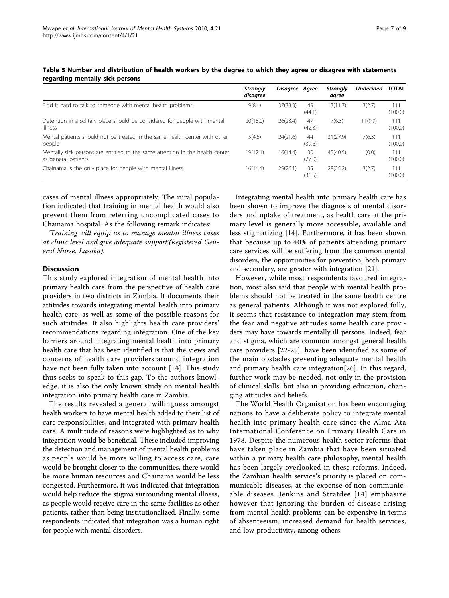|                                                                                                      | <b>Strongly</b><br>disagree | Disagree Agree |              | <b>Strongly</b><br>agree | <b>Undecided</b> | <b>TOTAL</b>   |
|------------------------------------------------------------------------------------------------------|-----------------------------|----------------|--------------|--------------------------|------------------|----------------|
| Find it hard to talk to someone with mental health problems                                          | 9(8.1)                      | 37(33.3)       | 49<br>(44.1) | 13(11.7)                 | 3(2.7)           | 111<br>(100.0) |
| Detention in a solitary place should be considered for people with mental<br>illness                 | 20(18.0)                    | 26(23.4)       | 47<br>(42.3) | 7(6.3)                   | 11(9.9)          | 111<br>(100.0) |
| Mental patients should not be treated in the same health center with other<br>people                 | 5(4.5)                      | 24(21.6)       | 44<br>(39.6) | 31(27.9)                 | 7(6.3)           | 111<br>(100.0) |
| Mentally sick persons are entitled to the same attention in the health center<br>as general patients | 19(17.1)                    | 16(14.4)       | 30<br>(27.0) | 45(40.5)                 | 1(0.0)           | 111<br>(100.0) |
| Chainama is the only place for people with mental illness                                            | 16(14.4)                    | 29(26.1)       | 35<br>(31.5) | 28(25.2)                 | 3(2.7)           | 111<br>(100.0) |

#### <span id="page-6-0"></span>Table 5 Number and distribution of health workers by the degree to which they agree or disagree with statements regarding mentally sick persons

cases of mental illness appropriately. The rural population indicated that training in mental health would also prevent them from referring uncomplicated cases to Chainama hospital. As the following remark indicates:

'Training will equip us to manage mental illness cases at clinic level and give adequate support'(Registered General Nurse, Lusaka).

#### Discussion

This study explored integration of mental health into primary health care from the perspective of health care providers in two districts in Zambia. It documents their attitudes towards integrating mental health into primary health care, as well as some of the possible reasons for such attitudes. It also highlights health care providers' recommendations regarding integration. One of the key barriers around integrating mental health into primary health care that has been identified is that the views and concerns of health care providers around integration have not been fully taken into account [\[14](#page-8-0)]. This study thus seeks to speak to this gap. To the authors knowledge, it is also the only known study on mental health integration into primary health care in Zambia.

The results revealed a general willingness amongst health workers to have mental health added to their list of care responsibilities, and integrated with primary health care. A multitude of reasons were highlighted as to why integration would be beneficial. These included improving the detection and management of mental health problems as people would be more willing to access care, care would be brought closer to the communities, there would be more human resources and Chainama would be less congested. Furthermore, it was indicated that integration would help reduce the stigma surrounding mental illness, as people would receive care in the same facilities as other patients, rather than being institutionalized. Finally, some respondents indicated that integration was a human right for people with mental disorders.

Integrating mental health into primary health care has been shown to improve the diagnosis of mental disorders and uptake of treatment, as health care at the primary level is generally more accessible, available and less stigmatizing [[14\]](#page-8-0). Furthermore, it has been shown that because up to 40% of patients attending primary care services will be suffering from the common mental disorders, the opportunities for prevention, both primary and secondary, are greater with integration [[21\]](#page-8-0).

However, while most respondents favoured integration, most also said that people with mental health problems should not be treated in the same health centre as general patients. Although it was not explored fully, it seems that resistance to integration may stem from the fear and negative attitudes some health care providers may have towards mentally ill persons. Indeed, fear and stigma, which are common amongst general health care providers [[22-25](#page-8-0)], have been identified as some of the main obstacles preventing adequate mental health and primary health care integration[\[26](#page-8-0)]. In this regard, further work may be needed, not only in the provision of clinical skills, but also in providing education, changing attitudes and beliefs.

The World Health Organisation has been encouraging nations to have a deliberate policy to integrate mental health into primary health care since the Alma Ata International Conference on Primary Health Care in 1978. Despite the numerous health sector reforms that have taken place in Zambia that have been situated within a primary health care philosophy, mental health has been largely overlooked in these reforms. Indeed, the Zambian health service's priority is placed on communicable diseases, at the expense of non-communicable diseases. Jenkins and Stratdee [[14](#page-8-0)] emphasize however that ignoring the burden of disease arising from mental health problems can be expensive in terms of absenteeism, increased demand for health services, and low productivity, among others.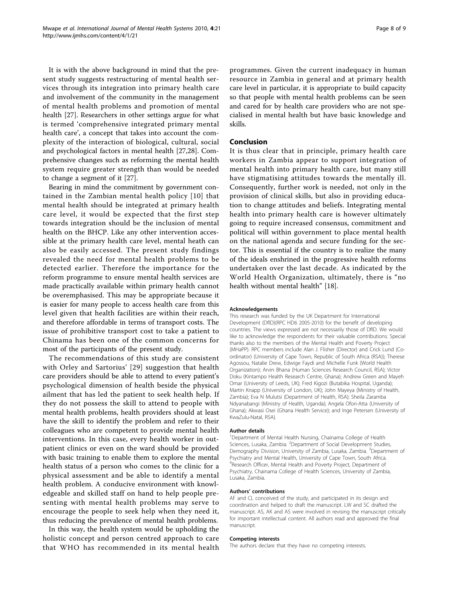It is with the above background in mind that the present study suggests restructuring of mental health services through its integration into primary health care and involvement of the community in the management of mental health problems and promotion of mental health [\[27](#page-8-0)]. Researchers in other settings argue for what is termed 'comprehensive integrated primary mental health care', a concept that takes into account the complexity of the interaction of biological, cultural, social and psychological factors in mental health [[27,28\]](#page-8-0). Comprehensive changes such as reforming the mental health system require greater strength than would be needed to change a segment of it [[27\]](#page-8-0).

Bearing in mind the commitment by government contained in the Zambian mental health policy [[10\]](#page-8-0) that mental health should be integrated at primary health care level, it would be expected that the first step towards integration should be the inclusion of mental health on the BHCP. Like any other intervention accessible at the primary health care level, mental heath can also be easily accessed. The present study findings revealed the need for mental health problems to be detected earlier. Therefore the importance for the reform programme to ensure mental health services are made practically available within primary health cannot be overemphasised. This may be appropriate because it is easier for many people to access health care from this level given that health facilities are within their reach, and therefore affordable in terms of transport costs. The issue of prohibitive transport cost to take a patient to Chinama has been one of the common concerns for most of the participants of the present study.

The recommendations of this study are consistent with Orley and Sartorius' [[29](#page-8-0)] suggestion that health care providers should be able to attend to every patient's psychological dimension of health beside the physical ailment that has led the patient to seek health help. If they do not possess the skill to attend to people with mental health problems, health providers should at least have the skill to identify the problem and refer to their colleagues who are competent to provide mental health interventions. In this case, every health worker in outpatient clinics or even on the ward should be provided with basic training to enable them to explore the mental health status of a person who comes to the clinic for a physical assessment and be able to identify a mental health problem. A conducive environment with knowledgeable and skilled staff on hand to help people presenting with mental health problems may serve to encourage the people to seek help when they need it, thus reducing the prevalence of mental health problems.

In this way, the health system would be upholding the holistic concept and person centred approach to care that WHO has recommended in its mental health

programmes. Given the current inadequacy in human resource in Zambia in general and at primary health care level in particular, it is appropriate to build capacity so that people with mental health problems can be seen and cared for by health care providers who are not specialised in mental health but have basic knowledge and skills.

#### Conclusion

It is thus clear that in principle, primary health care workers in Zambia appear to support integration of mental health into primary health care, but many still have stigmatising attitudes towards the mentally ill. Consequently, further work is needed, not only in the provision of clinical skills, but also in providing education to change attitudes and beliefs. Integrating mental health into primary health care is however ultimately going to require increased consensus, commitment and political will within government to place mental health on the national agenda and secure funding for the sector. This is essential if the country is to realize the many of the ideals enshrined in the progressive health reforms undertaken over the last decade. As indicated by the World Health Organization, ultimately, there is "no health without mental health" [[18\]](#page-8-0).

#### Acknowledgements

This research was funded by the UK Department for International Development (DfID)(RPC HD6 2005-2010) for the benefit of developing countries. The views expressed are not necessarily those of DfID. We would like to acknowledge the respondents for their valuable contributions. Special thanks also to the members of the Mental Health and Poverty Project (MHaPP). RPC members include Alan J. Flisher (Director) and Crick Lund (Coordinator) (University of Cape Town, Republic of South Africa (RSA)); Therese Agossou, Natalie Drew, Edwige Faydi and Michelle Funk (World Health Organization); Arvin Bhana (Human Sciences Research Council, RSA); Victor Doku (Kintampo Health Research Centre, Ghana); Andrew Green and Mayeh Omar (University of Leeds, UK); Fred Kigozi (Butabika Hospital, Uganda); Martin Knapp (University of London, UK); John Mayeya (Ministry of Health, Zambia); Eva N Mulutsi (Department of Health, RSA); Sheila Zaramba Ndyanabangi (Ministry of Health, Uganda); Angela Ofori-Atta (University of Ghana); Akwasi Osei (Ghana Health Service); and Inge Petersen (University of KwaZulu-Natal, RSA).

#### Author details

<sup>1</sup>Department of Mental Health Nursing, Chainama College of Health Sciences, Lusaka, Zambia. <sup>2</sup>Department of Social Development Studies, Demography Division, University of Zambia, Lusaka, Zambia. <sup>3</sup>Department of Psychiatry and Mental Health, University of Cape Town, South Africa. <sup>4</sup>Research Officer, Mental Health and Poverty Project, Department of Psychiatry, Chainama College of Health Sciences, University of Zambia, Lusaka, Zambia.

#### Authors' contributions

AF and CL conceived of the study, and participated in its design and coordination and helped to draft the manuscript. LW and SC drafted the manuscript. AS, AK and AS were involved in revising the manuscript critically for important intellectual content. All authors read and approved the final manuscript.

#### Competing interests

The authors declare that they have no competing interests.